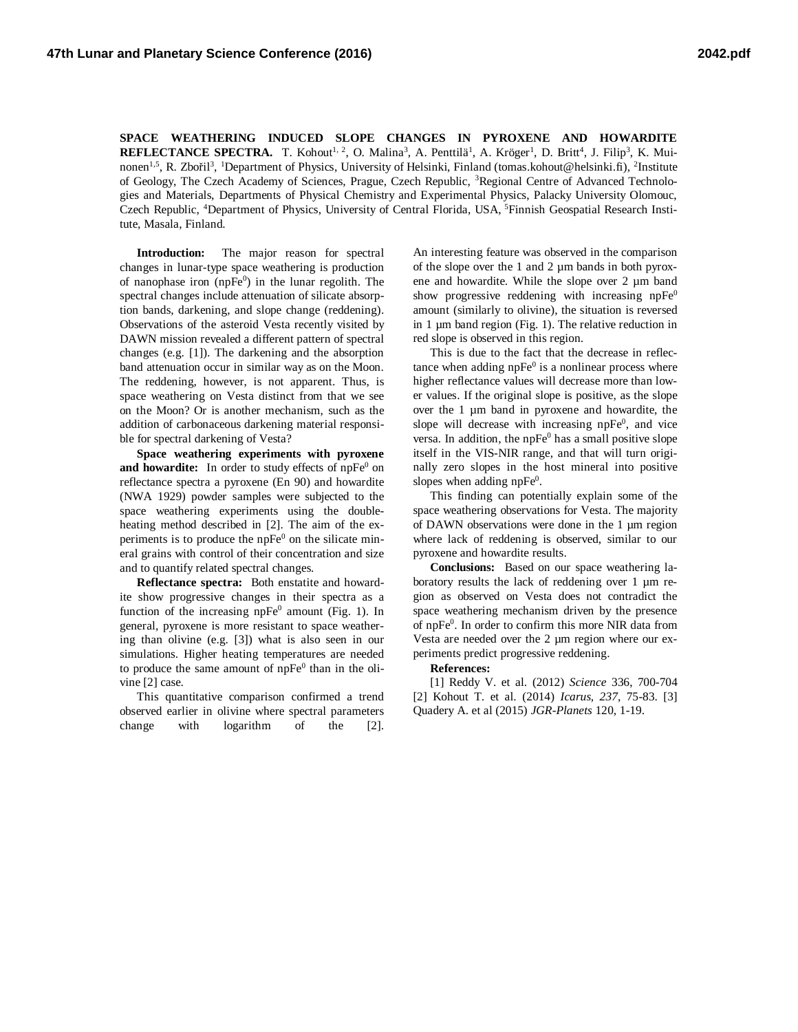**SPACE WEATHERING INDUCED SLOPE CHANGES IN PYROXENE AND HOWARDITE REFLECTANCE SPECTRA.** T. Kohout<sup>1, 2</sup>, O. Malina<sup>3</sup>, A. Penttilä<sup>1</sup>, A. Kröger<sup>1</sup>, D. Britt<sup>4</sup>, J. Filip<sup>3</sup>, K. Muinonen<sup>1,5</sup>, R. Zbořil<sup>3</sup>, <sup>1</sup>Department of Physics, University of Helsinki, Finland (tomas.kohout@helsinki.fi), <sup>2</sup>Institute of Geology, The Czech Academy of Sciences, Prague, Czech Republic, <sup>3</sup>Regional Centre of Advanced Technologies and Materials, Departments of Physical Chemistry and Experimental Physics, Palacky University Olomouc, Czech Republic, <sup>4</sup>Department of Physics, University of Central Florida, USA, <sup>5</sup>Finnish Geospatial Research Institute, Masala, Finland.

**Introduction:** The major reason for spectral changes in lunar-type space weathering is production of nanophase iron (np $Fe<sup>0</sup>$ ) in the lunar regolith. The spectral changes include attenuation of silicate absorption bands, darkening, and slope change (reddening). Observations of the asteroid Vesta recently visited by DAWN mission revealed a different pattern of spectral changes (e.g. [1]). The darkening and the absorption band attenuation occur in similar way as on the Moon. The reddening, however, is not apparent. Thus, is space weathering on Vesta distinct from that we see on the Moon? Or is another mechanism, such as the addition of carbonaceous darkening material responsible for spectral darkening of Vesta?

**Space weathering experiments with pyroxene** and howardite: In order to study effects of npFe<sup>0</sup> on reflectance spectra a pyroxene (En 90) and howardite (NWA 1929) powder samples were subjected to the space weathering experiments using the doubleheating method described in [2]. The aim of the experiments is to produce the  $n\bar{p}Fe^0$  on the silicate mineral grains with control of their concentration and size and to quantify related spectral changes.

**Reflectance spectra:** Both enstatite and howardite show progressive changes in their spectra as a function of the increasing  $n p Fe<sup>0</sup>$  amount (Fig. 1). In general, pyroxene is more resistant to space weathering than olivine (e.g. [3]) what is also seen in our simulations. Higher heating temperatures are needed to produce the same amount of  $n pFe<sup>0</sup>$  than in the olivine [2] case.

This quantitative comparison confirmed a trend observed earlier in olivine where spectral parameters change with logarithm of the [2].

An interesting feature was observed in the comparison of the slope over the 1 and 2 µm bands in both pyroxene and howardite. While the slope over 2 µm band show progressive reddening with increasing  $n pFe<sup>0</sup>$ amount (similarly to olivine), the situation is reversed in 1  $\mu$ m band region (Fig. 1). The relative reduction in red slope is observed in this region.

This is due to the fact that the decrease in reflectance when adding  $npe^{0}$  is a nonlinear process where higher reflectance values will decrease more than lower values. If the original slope is positive, as the slope over the 1 µm band in pyroxene and howardite, the slope will decrease with increasing npFe<sup>0</sup>, and vice versa. In addition, the  $nPFe<sup>0</sup>$  has a small positive slope itself in the VIS-NIR range, and that will turn originally zero slopes in the host mineral into positive slopes when adding  $n p Fe<sup>0</sup>$ .

This finding can potentially explain some of the space weathering observations for Vesta. The majority of DAWN observations were done in the 1 µm region where lack of reddening is observed, similar to our pyroxene and howardite results.

**Conclusions:** Based on our space weathering laboratory results the lack of reddening over 1 µm region as observed on Vesta does not contradict the space weathering mechanism driven by the presence of npFe<sup>0</sup>. In order to confirm this more NIR data from Vesta are needed over the 2 µm region where our experiments predict progressive reddening.

## **References:**

[1] Reddy V. et al. (2012) *Science* 336, 700-704 [2] Kohout T. et al. (2014) *Icarus, 237,* 75-83. [3] Quadery A. et al (2015) *JGR-Planets* 120, 1-19.